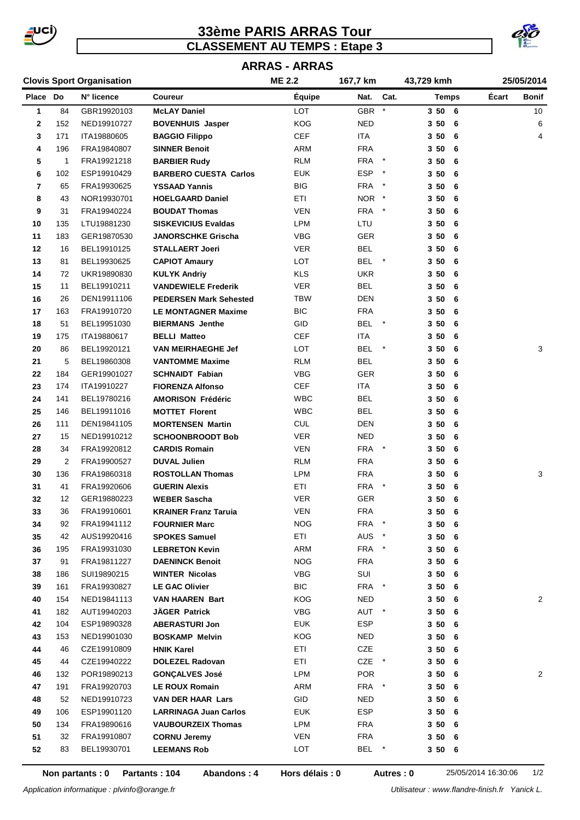

# **33ème PARIS ARRAS Tour CLASSEMENT AU TEMPS : Etape 3**



# **ARRAS - ARRAS**

|  |  | <b>Clovis Sport Organisation</b> |
|--|--|----------------------------------|
|--|--|----------------------------------|

|          |                | <b>Clovis Sport Organisation</b> |                               | <b>ME 2.2</b> | 167,7 km    |            | 43,729 kmh     |       | 25/05/2014      |
|----------|----------------|----------------------------------|-------------------------------|---------------|-------------|------------|----------------|-------|-----------------|
| Place Do |                | N° licence                       | Coureur                       | Équipe        | Nat.        | Cat.       | <b>Temps</b>   | Écart | Bonif           |
| 1        | 84             | GBR19920103                      | <b>McLAY Daniel</b>           | <b>LOT</b>    | <b>GBR</b>  | $\star$    | 3506           |       | 10 <sup>1</sup> |
| 2        | 152            | NED19910727                      | <b>BOVENHUIS Jasper</b>       | <b>KOG</b>    | <b>NED</b>  |            | 3506           |       | 6               |
| 3        | 171            | ITA19880605                      | <b>BAGGIO Filippo</b>         | <b>CEF</b>    | <b>ITA</b>  |            | 3506           |       | 4               |
| 4        | 196            | FRA19840807                      | <b>SINNER Benoit</b>          | ARM           | <b>FRA</b>  |            | 350<br>- 6     |       |                 |
| 5        | 1              | FRA19921218                      | <b>BARBIER Rudy</b>           | <b>RLM</b>    | <b>FRA</b>  | $\star$    | 350<br>6       |       |                 |
| 6        | 102            | ESP19910429                      | <b>BARBERO CUESTA Carlos</b>  | <b>EUK</b>    | <b>ESP</b>  | $\star$    | 350<br>- 6     |       |                 |
| 7        | 65             | FRA19930625                      | <b>YSSAAD Yannis</b>          | <b>BIG</b>    | <b>FRA</b>  |            | 350<br>- 6     |       |                 |
| 8        | 43             | NOR19930701                      | <b>HOELGAARD Daniel</b>       | <b>ETI</b>    | NOR *       |            | 350<br>- 6     |       |                 |
| 9        | 31             | FRA19940224                      | <b>BOUDAT Thomas</b>          | <b>VEN</b>    | FRA         | $\ast$     | 350<br>- 6     |       |                 |
| 10       | 135            | LTU19881230                      | <b>SISKEVICIUS Evaldas</b>    | LPM           | LTU         |            | 350<br>- 6     |       |                 |
| 11       | 183            | GER19870530                      | <b>JANORSCHKE Grischa</b>     | <b>VBG</b>    | GER         |            | 350<br>- 6     |       |                 |
| 12       | 16             | BEL19910125                      | <b>STALLAERT Joeri</b>        | <b>VER</b>    | <b>BEL</b>  |            | 350<br>6       |       |                 |
| 13       | 81             | BEL19930625                      | <b>CAPIOT Amaury</b>          | LOT           | <b>BEL</b>  | $^\star$   | 350<br>6       |       |                 |
| 14       | 72             | UKR19890830                      | <b>KULYK Andriy</b>           | <b>KLS</b>    | <b>UKR</b>  |            | 3 50<br>- 6    |       |                 |
| 15       | 11             | BEL19910211                      | <b>VANDEWIELE Frederik</b>    | <b>VER</b>    | <b>BEL</b>  |            | 3 50<br>- 6    |       |                 |
| 16       | 26             | DEN19911106                      | <b>PEDERSEN Mark Sehested</b> | <b>TBW</b>    | <b>DEN</b>  |            | 350<br>- 6     |       |                 |
| 17       | 163            | FRA19910720                      | <b>LE MONTAGNER Maxime</b>    | <b>BIC</b>    | <b>FRA</b>  |            | 350<br>- 6     |       |                 |
| 18       | 51             | BEL19951030                      | <b>BIERMANS</b> Jenthe        | GID           | BEL         | $\star$    | 3 50<br>- 6    |       |                 |
| 19       | 175            | ITA19880617                      | <b>BELLI Matteo</b>           | <b>CEF</b>    | <b>ITA</b>  |            | 350<br>6       |       |                 |
| 20       | 86             | BEL19920121                      | <b>VAN MEIRHAEGHE Jef</b>     | LOT           | <b>BEL</b>  | $\star$    | 350<br>- 6     |       | 3               |
| 21       | 5              | BEL19860308                      | <b>VANTOMME Maxime</b>        | <b>RLM</b>    | BEL         |            | 350<br>- 6     |       |                 |
| 22       | 184            | GER19901027                      | <b>SCHNAIDT Fabian</b>        | VBG           | GER         |            | 350<br>- 6     |       |                 |
| 23       | 174            | ITA19910227                      | <b>FIORENZA Alfonso</b>       | <b>CEF</b>    | ITA         |            | 350<br>- 6     |       |                 |
| 24       | 141            | BEL19780216                      | <b>AMORISON Frédéric</b>      | <b>WBC</b>    | <b>BEL</b>  |            | 350<br>- 6     |       |                 |
| 25       | 146            | BEL19911016                      | <b>MOTTET Florent</b>         | <b>WBC</b>    | <b>BEL</b>  |            | 350<br>- 6     |       |                 |
| 26       | 111            | DEN19841105                      | <b>MORTENSEN Martin</b>       | <b>CUL</b>    | <b>DEN</b>  |            | 350<br>6       |       |                 |
| 27       | 15             | NED19910212                      | <b>SCHOONBROODT Bob</b>       | <b>VER</b>    | <b>NED</b>  |            | 3 50<br>6      |       |                 |
| 28       | 34             | FRA19920812                      | <b>CARDIS Romain</b>          | <b>VEN</b>    | FRA         | $^{\star}$ | 350<br>- 6     |       |                 |
| 29       | $\overline{2}$ | FRA19900527                      | <b>DUVAL Julien</b>           | <b>RLM</b>    | <b>FRA</b>  |            | 3 50<br>- 6    |       |                 |
| 30       | 136            | FRA19860318                      | <b>ROSTOLLAN Thomas</b>       | LPM           | <b>FRA</b>  |            | 3 50<br>- 6    |       | 3               |
| 31       | 41             | FRA19920606                      | <b>GUERIN Alexis</b>          | ETI           | <b>FRA</b>  | $\ast$     | 350<br>- 6     |       |                 |
| 32       | 12             | GER19880223                      | <b>WEBER Sascha</b>           | <b>VER</b>    | <b>GER</b>  |            | 350<br>- 6     |       |                 |
| 33       | 36             | FRA19910601                      | <b>KRAINER Franz Taruia</b>   | <b>VEN</b>    | ${\sf FRA}$ |            | 350<br>6       |       |                 |
| 34       | 92             | FRA19941112                      | <b>FOURNIER Marc</b>          | <b>NOG</b>    | FRA         | $\ast$     | 350<br>6       |       |                 |
| 35       | 42             | AUS19920416                      | <b>SPOKES Samuel</b>          | ETI           | AUS         | $\ast$     | 3506           |       |                 |
| 36       | 195            | FRA19931030                      | <b>LEBRETON Kevin</b>         | ARM           | <b>FRA</b>  |            | 3506           |       |                 |
| 37       | 91             | FRA19811227                      | <b>DAENINCK Benoit</b>        | <b>NOG</b>    | <b>FRA</b>  |            | 3506           |       |                 |
| 38       | 186            | SUI19890215                      | <b>WINTER Nicolas</b>         | <b>VBG</b>    | SUI         |            | 3506           |       |                 |
| 39       | 161            | FRA19930827                      | <b>LE GAC Olivier</b>         | <b>BIC</b>    | FRA *       |            | 3506           |       |                 |
| 40       | 154            | NED19841113                      | <b>VAN HAAREN Bart</b>        | KOG           | <b>NED</b>  |            | $3\,50$<br>- 6 |       | 2               |
| 41       | 182            | AUT19940203                      | JÄGER Patrick                 | VBG           | AUT *       |            | 350<br>- 6     |       |                 |
| 42       | 104            | ESP19890328                      | <b>ABERASTURI Jon</b>         | <b>EUK</b>    | <b>ESP</b>  |            | 3506           |       |                 |
| 43       | 153            | NED19901030                      | <b>BOSKAMP Melvin</b>         | <b>KOG</b>    | NED.        |            | 3506           |       |                 |
| 44       | 46             | CZE19910809                      | <b>HNIK Karel</b>             | ETI           | CZE         |            | 3506           |       |                 |
| 45       | 44             | CZE19940222                      | <b>DOLEZEL Radovan</b>        | ETI           | CZE *       |            | 3506           |       |                 |
| 46       | 132            | POR19890213                      | <b>GONÇALVES José</b>         | LPM           | <b>POR</b>  |            | 3506           |       | $\overline{2}$  |
| 47       | 191            | FRA19920703                      | <b>LE ROUX Romain</b>         | ARM           | FRA *       |            | 350<br>6       |       |                 |
| 48       | 52             | NED19910723                      | <b>VAN DER HAAR Lars</b>      | GID           | NED         |            | 350<br>- 6     |       |                 |
| 49       | 106            | ESP19901120                      | <b>LARRINAGA Juan Carlos</b>  | <b>EUK</b>    | <b>ESP</b>  |            | 3506           |       |                 |
| 50       | 134            | FRA19890616                      | <b>VAUBOURZEIX Thomas</b>     | LPM           | <b>FRA</b>  |            | 3506           |       |                 |
| 51       | 32             | FRA19910807                      | <b>CORNU Jeremy</b>           | <b>VEN</b>    | <b>FRA</b>  |            | 3506           |       |                 |
| 52       | 83             | BEL19930701                      |                               | LOT           | BEL         | $\star$    | 3506           |       |                 |
|          |                |                                  | <b>LEEMANS Rob</b>            |               |             |            |                |       |                 |

**Hors délais : 0**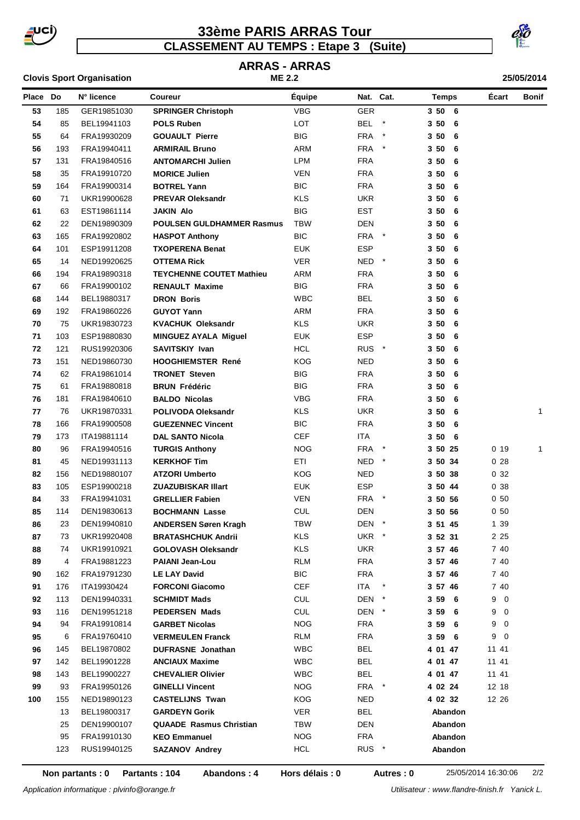

### **CLASSEMENT AU TEMPS : Etape 3 (Suite) 33ème PARIS ARRAS Tour**





#### **Place Do Coureur Équipe N° licence Nat. Cat. Temps Écart Bonif** 185 GER19851030 **SPRINGER Christoph** VBG GER **3 50 6** 85 BEL19941103 **POLS Ruben** LOT BEL \* **3 50 6** 64 FRA19930209 **GOUAULT Pierre** BIG FRA \* **3 50 6** 193 FRA19940411 **ARMIRAIL Bruno** ARM FRA \* **3 50 6** 131 FRA19840516 **ANTOMARCHI Julien** LPM FRA **3 50 6** 35 FRA19910720 **MORICE Julien** VEN FRA **3 50 6** 164 FRA19900314 **BOTREL Yann** BIC FRA **3 50 6** 71 UKR19900628 **PREVAR Oleksandr** KLS UKR **3 50 6** 63 EST19861114 **JAKIN Alo** BIG EST **3 50 6** 22 DEN19890309 **POULSEN GULDHAMMER Rasmus** TBW DEN **3 50 6** 165 FRA19920802 **HASPOT Anthony** BIC FRA \* **3 50 6** 101 ESP19911208 **TXOPERENA Benat** EUK ESP **3 50 6** 14 NED19920625 **OTTEMA Rick** VER NED \* **3 50 6** 194 FRA19890318 **TEYCHENNE COUTET Mathieu** ARM FRA **3 50 6** 66 FRA19900102 **RENAULT Maxime** BIG FRA **3 50 6** 144 BEL19880317 **DRON Boris** WBC BEL **3 50 6** 192 FRA19860226 **GUYOT Yann** ARM FRA **3 50 6** 75 UKR19830723 **KVACHUK Oleksandr** KLS UKR **3 50 6** 103 ESP19880830 **MINGUEZ AYALA Miguel** EUK ESP **3 50 6** 121 RUS19920306 **SAVITSKIY Ivan** HCL RUS \* **3 50 6** 151 NED19860730 **HOOGHIEMSTER René** KOG NED **3 50 6** 62 FRA19861014 **TRONET Steven** BIG FRA **3 50 6** 61 FRA19880818 **BRUN Frédéric** BIG FRA **3 50 6** 181 FRA19840610 **BALDO Nicolas** VBG FRA **3 50 6** 76 UKR19870331 **POLIVODA Oleksandr** KLS UKR **3 50 6** 1 166 FRA19900508 **GUEZENNEC Vincent** BIC FRA **3 50 6** 173 ITA19881114 **DAL SANTO Nicola** CEF ITA **3 50 6** 96 FRA19940516 **TURGIS Anthony** NOG FRA \* **3 50 25** 0 19 1 45 NED19931113 **KERKHOF Tim** ETI NED \* **3 50 34** 0 28 156 NED19880107 **ATZORI Umberto** KOG NED **3 50 38** 0 32 105 ESP19900218 **ZUAZUBISKAR Illart** EUK ESP **3 50 44** 0 38 33 FRA19941031 **GRELLIER Fabien** VEN FRA \* **3 50 56** 0 50 114 DEN19830613 **BOCHMANN Lasse** CUL DEN **3 50 56** 0 50 23 DEN19940810 **ANDERSEN Søren Kragh** TBW DEN \* **3 51 45** 1 39 73 UKR19920408 **BRATASHCHUK Andrii** KLS UKR \* **3 52 31** 2 25 74 UKR19910921 **GOLOVASH Oleksandr** KLS UKR **3 57 46** 7 40 4 FRA19881223 **PAIANI Jean-Lou** RLM FRA **3 57 46** 7 40 162 FRA19791230 **LE LAY David** BIC FRA **3 57 46** 7 40 176 ITA19930424 **FORCONI Giacomo** CEF ITA \* **3 57 46** 7 40 113 DEN19940331 **SCHMIDT Mads** CUL DEN \* **3 59 6** 9 0 116 DEN19951218 **PEDERSEN Mads** CUL DEN \* **3 59 6** 9 0 94 FRA19910814 **GARBET Nicolas** NOG FRA **3 59 6** 9 0 6 FRA19760410 **VERMEULEN Franck** RLM FRA **3 59 6** 9 0 145 BEL19870802 **DUFRASNE Jonathan** WBC BEL **4 01 47** 11 41 142 BEL19901228 **ANCIAUX Maxime** WBC BEL **4 01 47** 11 41 143 BEL19900227 **CHEVALIER Olivier** WBC BEL **4 01 47** 11 41 93 FRA19950126 **GINELLI Vincent** NOG FRA \* **4 02 24** 12 18 155 NED19890123 **CASTELIJNS Twan** KOG NED **4 02 32** 12 26 BEL19800317 **GARDEYN Gorik** VER BEL **Abandon** DEN19900107 **QUAADE Rasmus Christian** TBW DEN **Abandon** FRA19910130 **KEO Emmanuel** NOG FRA **Abandon** RUS19940125 **SAZANOV Andrey** HCL RUS \* **Abandon**

**Non partants : 0 Partants : 104 Abandons : 4 Autres : 0** 25/05/2014 16:30:06 2/2

**Hors délais : 0**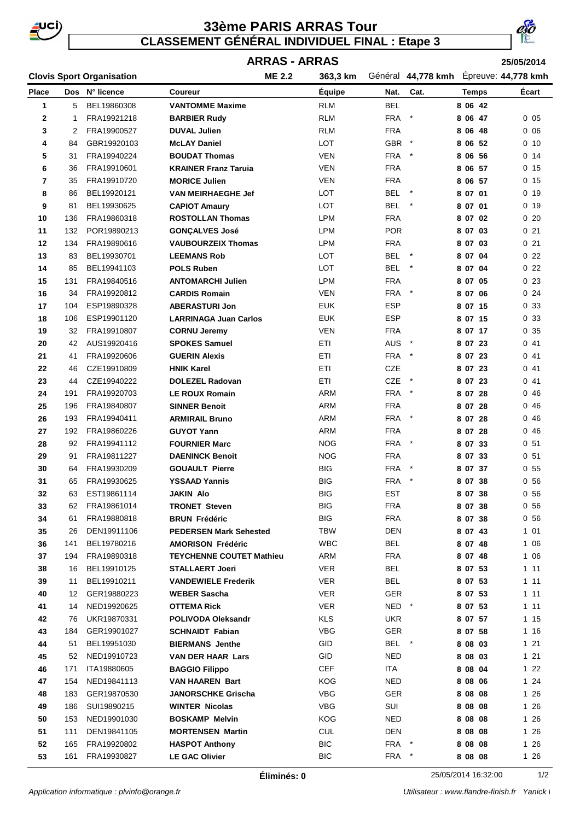

# **33ème PARIS ARRAS Tour CLASSEMENT GÉNÉRAL INDIVIDUEL FINAL : Etape 3**



### **ARRAS - ARRAS**

**25/05/2014**

|                |     | <b>Clovis Sport Organisation</b> |                                 | <b>ME 2.2</b> | 363,3 km      |            | Général 44,778 kmh Epreuve: 44,778 kmh |              |                 |
|----------------|-----|----------------------------------|---------------------------------|---------------|---------------|------------|----------------------------------------|--------------|-----------------|
| <b>Place</b>   |     | Dos N° licence                   | Coureur                         |               | <b>Équipe</b> | Nat.       | Cat.                                   | <b>Temps</b> | Écart           |
| $\mathbf{1}$   | 5   | BEL19860308                      | <b>VANTOMME Maxime</b>          |               | <b>RLM</b>    | <b>BEL</b> |                                        | 8 06 42      |                 |
| 2              | 1   | FRA19921218                      | <b>BARBIER Rudy</b>             |               | <b>RLM</b>    | <b>FRA</b> | $^{\star}$                             | 8 06 47      | 0 <sub>05</sub> |
| 3              | 2   | FRA19900527                      | <b>DUVAL Julien</b>             |               | <b>RLM</b>    | <b>FRA</b> |                                        | 8 06 48      | 006             |
| 4              | 84  | GBR19920103                      | <b>McLAY Daniel</b>             |               | LOT           | GBR *      |                                        | 8 06 52      | $0$ 10          |
| 5              | 31  | FRA19940224                      | <b>BOUDAT Thomas</b>            |               | VEN           | FRA *      |                                        | 8 06 56      | 0 <sub>14</sub> |
| 6              | 36  | FRA19910601                      | <b>KRAINER Franz Taruia</b>     |               | <b>VEN</b>    | <b>FRA</b> |                                        | 8 06 57      | 0 <sub>15</sub> |
| $\overline{7}$ | 35  | FRA19910720                      | <b>MORICE Julien</b>            |               | <b>VEN</b>    | <b>FRA</b> |                                        | 8 06 57      | 0 <sub>15</sub> |
| 8              | 86  | BEL19920121                      | <b>VAN MEIRHAEGHE Jef</b>       |               | LOT           | <b>BEL</b> | $\star$                                | 8 07 01      | 0 <sub>19</sub> |
| 9              | 81  | BEL19930625                      | <b>CAPIOT Amaury</b>            |               | LOT           | <b>BEL</b> |                                        | 8 07 01      | 0 <sub>19</sub> |
| 10             | 136 | FRA19860318                      | <b>ROSTOLLAN Thomas</b>         |               | <b>LPM</b>    | <b>FRA</b> |                                        | 8 07 02      | 020             |
| 11             | 132 | POR19890213                      | <b>GONÇALVES José</b>           |               | <b>LPM</b>    | <b>POR</b> |                                        | 8 07 03      | 021             |
| 12             | 134 | FRA19890616                      | <b>VAUBOURZEIX Thomas</b>       |               | LPM           | <b>FRA</b> |                                        | 8 07 03      | 021             |
| 13             | 83  | BEL19930701                      | <b>LEEMANS Rob</b>              |               | LOT           | BEL        |                                        | 8 07 04      | 022             |
| 14             | 85  | BEL19941103                      | <b>POLS Ruben</b>               |               | LOT           | <b>BEL</b> |                                        | 8 07 04      | 022             |
| 15             | 131 | FRA19840516                      | <b>ANTOMARCHI Julien</b>        |               | LPM           | <b>FRA</b> |                                        | 8 07 05      | 023             |
| 16             | 34  | FRA19920812                      | <b>CARDIS Romain</b>            |               | <b>VEN</b>    | <b>FRA</b> | $\star$                                | 8 07 06      | 024             |
| 17             | 104 | ESP19890328                      | <b>ABERASTURI Jon</b>           |               | <b>EUK</b>    | <b>ESP</b> |                                        | 8 07 15      | 033             |
| 18             | 106 | ESP19901120                      | <b>LARRINAGA Juan Carlos</b>    |               | <b>EUK</b>    | <b>ESP</b> |                                        | 8 07 15      | 033             |
| 19             | 32  | FRA19910807                      | <b>CORNU Jeremy</b>             |               | VEN           | <b>FRA</b> |                                        | 8 07 17      | 035             |
| 20             | 42  | AUS19920416                      | <b>SPOKES Samuel</b>            |               | ETI           | AUS *      |                                        | 8 07 23      | 041             |
| 21             | 41  | FRA19920606                      | <b>GUERIN Alexis</b>            |               | ETI           | FRA *      |                                        | 8 07 23      | 041             |
| 22             | 46  | CZE19910809                      | <b>HNIK Karel</b>               |               | ETI           | CZE        |                                        | 8 07 23      | 041             |
| 23             | 44  | CZE19940222                      | <b>DOLEZEL Radovan</b>          |               | <b>ETI</b>    | CZE        | $\star$                                | 8 07 23      | 041             |
| 24             | 191 | FRA19920703                      | <b>LE ROUX Romain</b>           |               | <b>ARM</b>    | FRA *      |                                        | 8 07 28      | 046             |
| 25             | 196 | FRA19840807                      | <b>SINNER Benoit</b>            |               | ARM           | <b>FRA</b> |                                        | 8 07 28      | 046             |
| 26             | 193 | FRA19940411                      | <b>ARMIRAIL Bruno</b>           |               | ARM           | FRA *      |                                        | 8 07 28      | 046             |
| 27             | 192 | FRA19860226                      | <b>GUYOT Yann</b>               |               | ARM           | <b>FRA</b> |                                        | 8 07 28      | 0 46            |
| 28             | 92  | FRA19941112                      | <b>FOURNIER Marc</b>            |               | <b>NOG</b>    | <b>FRA</b> | $\rightarrow$                          | 8 07 33      | 0 <sub>51</sub> |
| 29             | 91  | FRA19811227                      | <b>DAENINCK Benoit</b>          |               | <b>NOG</b>    | <b>FRA</b> |                                        | 8 07 33      | 0 <sub>51</sub> |
| 30             | 64  | FRA19930209                      | <b>GOUAULT Pierre</b>           |               | <b>BIG</b>    | <b>FRA</b> | $\star$                                | 8 07 37      | 0 <sub>55</sub> |
| 31             | 65  | FRA19930625                      | <b>YSSAAD Yannis</b>            |               | <b>BIG</b>    | <b>FRA</b> |                                        | 8 07 38      | 0.56            |
| 32             | 63  | EST19861114                      | <b>JAKIN Alo</b>                |               | BIG           | <b>EST</b> |                                        | 8 07 38      | 0 <sub>56</sub> |
| 33             | 62  | FRA19861014                      | <b>TRONET Steven</b>            |               | <b>BIG</b>    | <b>FRA</b> |                                        | 8 07 38      | 0 56            |
| 34             | 61  | FRA19880818                      | <b>BRUN Frédéric</b>            |               | <b>BIG</b>    | <b>FRA</b> |                                        | 8 07 38      | 0 <sub>56</sub> |
| 35             | 26  | DEN19911106                      | <b>PEDERSEN Mark Sehested</b>   |               | <b>TBW</b>    | <b>DEN</b> |                                        | 8 07 43      | 101             |
| 36             | 141 | BEL19780216                      | <b>AMORISON Frédéric</b>        |               | <b>WBC</b>    | <b>BEL</b> |                                        | 8 07 48      | 1 06            |
| 37             | 194 | FRA19890318                      | <b>TEYCHENNE COUTET Mathieu</b> |               | ARM           | <b>FRA</b> |                                        | 8 07 48      | 1 06            |
| 38             | 16  | BEL19910125                      | <b>STALLAERT Joeri</b>          |               | VER           | BEL        |                                        | 8 07 53      | 111             |
| 39             | 11  | BEL19910211                      | <b>VANDEWIELE Frederik</b>      |               | VER           | <b>BEL</b> |                                        | 8 07 53      | 111             |
| 40             | 12  | GER19880223                      | <b>WEBER Sascha</b>             |               | VER           | GER        |                                        | 8 07 53      | 111             |
| 41             | 14  | NED19920625                      | <b>OTTEMA Rick</b>              |               | VER           | NED *      |                                        | 8 07 53      | 1 11            |
| 42             | 76  | UKR19870331                      | <b>POLIVODA Oleksandr</b>       |               | <b>KLS</b>    | <b>UKR</b> |                                        | 8 07 57      | 1 15            |
| 43             | 184 | GER19901027                      | <b>SCHNAIDT Fabian</b>          |               | <b>VBG</b>    | GER        |                                        | 8 07 58      | 1 16            |
| 44             | 51  | BEL19951030                      | <b>BIERMANS Jenthe</b>          |               | GID           | BEL *      |                                        | 8 08 03      | 121             |
| 45             | 52  | NED19910723                      | <b>VAN DER HAAR Lars</b>        |               | GID           | <b>NED</b> |                                        | 8 08 03      | 121             |
| 46             | 171 | ITA19880605                      | <b>BAGGIO Filippo</b>           |               | <b>CEF</b>    | <b>ITA</b> |                                        | 8 08 04      | $122$           |
| 47             | 154 | NED19841113                      | <b>VAN HAAREN Bart</b>          |               | KOG           | <b>NED</b> |                                        | 8 08 06      | 124             |
| 48             | 183 | GER19870530                      | <b>JANORSCHKE Grischa</b>       |               | <b>VBG</b>    | <b>GER</b> |                                        | 8 08 08      | 1 26            |
| 49             | 186 | SUI19890215                      | <b>WINTER Nicolas</b>           |               | VBG           | SUI        |                                        | 8 08 08      | 1 26            |
| 50             | 153 | NED19901030                      | <b>BOSKAMP Melvin</b>           |               | KOG           | <b>NED</b> |                                        | 8 08 08      | 1 26            |
| 51             | 111 | DEN19841105                      | <b>MORTENSEN Martin</b>         |               | <b>CUL</b>    | <b>DEN</b> |                                        | 8 08 08      | 1 26            |
| 52             | 165 | FRA19920802                      | <b>HASPOT Anthony</b>           |               | <b>BIC</b>    | FRA *      |                                        | 8 08 08      | 1 26            |
| 53             | 161 | FRA19930827                      | <b>LE GAC Olivier</b>           |               | BIC           | FRA *      |                                        | 8 08 08      | $126$           |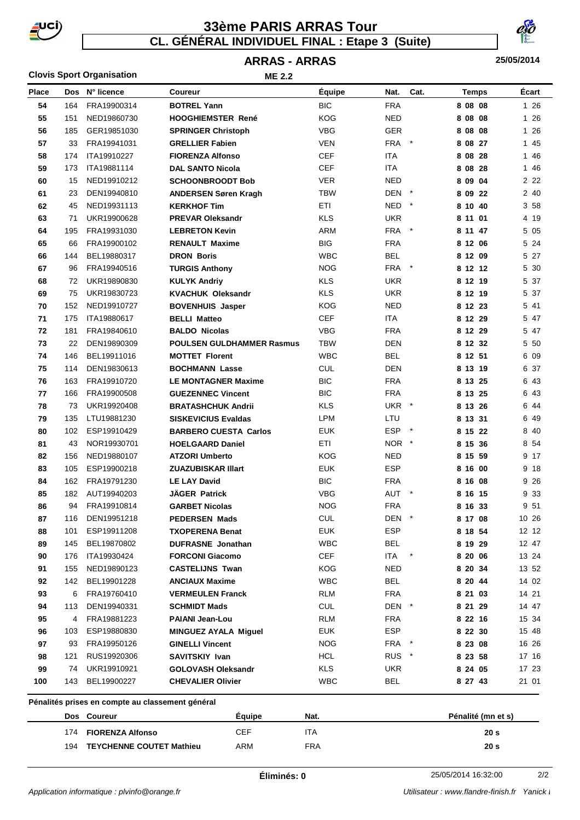

# **CL. GÉNÉRAL INDIVIDUEL FINAL : Etape 3 (Suite) 33ème PARIS ARRAS Tour**

#### **25/05/2014**

# **ARRAS - ARRAS**

| <b>Clovis Sport Organisation</b> |     |                                                  | <b>ME 2.2</b>                    |               |            |         |                    |         |
|----------------------------------|-----|--------------------------------------------------|----------------------------------|---------------|------------|---------|--------------------|---------|
| Place                            | Dos | N° licence                                       | <b>Coureur</b>                   | <b>Équipe</b> | Nat.       | Cat.    | <b>Temps</b>       | Ecart   |
| 54                               | 164 | FRA19900314                                      | <b>BOTREL Yann</b>               | <b>BIC</b>    | <b>FRA</b> |         | 8 08 08            | 1 26    |
| 55                               | 151 | NED19860730                                      | <b>HOOGHIEMSTER René</b>         | <b>KOG</b>    | <b>NED</b> |         | 8 08 08            | 1 26    |
| 56                               | 185 | GER19851030                                      | <b>SPRINGER Christoph</b>        | <b>VBG</b>    | <b>GER</b> |         | 8 08 08            | 26<br>1 |
| 57                               | 33  | FRA19941031                                      | <b>GRELLIER Fabien</b>           | <b>VEN</b>    | <b>FRA</b> | $\ast$  | 8 08 27            | 1 45    |
| 58                               | 174 | ITA19910227                                      | <b>FIORENZA Alfonso</b>          | CEF           | <b>ITA</b> |         | 8 08 28            | 1<br>46 |
| 59                               | 173 | ITA19881114                                      | <b>DAL SANTO Nicola</b>          | CEF           | <b>ITA</b> |         | 8 08 28            | 1 46    |
| 60                               | 15  | NED19910212                                      | <b>SCHOONBROODT Bob</b>          | <b>VER</b>    | <b>NED</b> |         | 8 09 04            | 2 2 2   |
| 61                               | 23  | DEN19940810                                      | <b>ANDERSEN Søren Kragh</b>      | TBW           | DEN        | $\ast$  | 8 09 22            | 2 40    |
| 62                               | 45  | NED19931113                                      | <b>KERKHOF Tim</b>               | ETI           | NED        | $\ast$  | 8 10 40            | 3 58    |
| 63                               | 71  | UKR19900628                                      | <b>PREVAR Oleksandr</b>          | <b>KLS</b>    | <b>UKR</b> |         | 8 11 01            | 4 19    |
| 64                               | 195 | FRA19931030                                      | <b>LEBRETON Kevin</b>            | ARM           | <b>FRA</b> | $\ast$  | 8 11 47            | 5<br>05 |
| 65                               | 66  | FRA19900102                                      | <b>RENAULT Maxime</b>            | <b>BIG</b>    | <b>FRA</b> |         | 8 12 06            | 5 24    |
| 66                               | 144 | BEL19880317                                      | <b>DRON Boris</b>                | <b>WBC</b>    | BEL        |         | 8 12 09            | 5 27    |
| 67                               | 96  | FRA19940516                                      | <b>TURGIS Anthony</b>            | <b>NOG</b>    | <b>FRA</b> |         | 8 12 12            | 5 30    |
| 68                               | 72  | UKR19890830                                      | <b>KULYK Andriy</b>              | <b>KLS</b>    | <b>UKR</b> |         | 8 12 19            | 5 37    |
| 69                               | 75  | UKR19830723                                      | <b>KVACHUK Oleksandr</b>         | <b>KLS</b>    | <b>UKR</b> |         | 8 12 19            | 5 37    |
| 70                               | 152 | NED19910727                                      | <b>BOVENHUIS Jasper</b>          | <b>KOG</b>    | <b>NED</b> |         | 8 12 23            | 5 41    |
| 71                               | 175 | ITA19880617                                      | <b>BELLI Matteo</b>              | <b>CEF</b>    | ITA        |         | 8 12 29            | 5<br>47 |
| 72                               | 181 | FRA19840610                                      | <b>BALDO Nicolas</b>             | <b>VBG</b>    | <b>FRA</b> |         | 8 12 29            | 5 47    |
| 73                               | 22  | DEN19890309                                      | <b>POULSEN GULDHAMMER Rasmus</b> | <b>TBW</b>    | <b>DEN</b> |         | 8 12 32            | 5 50    |
| 74                               | 146 | BEL19911016                                      | <b>MOTTET Florent</b>            | <b>WBC</b>    | <b>BEL</b> |         | 8 12 51            | 6 09    |
| 75                               | 114 | DEN19830613                                      | <b>BOCHMANN Lasse</b>            | <b>CUL</b>    | <b>DEN</b> |         | 8 13 19            | 6 37    |
| 76                               | 163 | FRA19910720                                      | <b>LE MONTAGNER Maxime</b>       | <b>BIC</b>    | <b>FRA</b> |         | 8 13 25            | 6 43    |
| 77                               | 166 | FRA19900508                                      | <b>GUEZENNEC Vincent</b>         | <b>BIC</b>    | <b>FRA</b> |         | 8 13 25            | 6 43    |
| 78                               | 73  | UKR19920408                                      | <b>BRATASHCHUK Andrii</b>        | <b>KLS</b>    | <b>UKR</b> | $\ast$  | 8 13 26            | 6<br>44 |
| 79                               | 135 | LTU19881230                                      | <b>SISKEVICIUS Evaldas</b>       | LPM           | LTU        |         | 8 13 31            | 6 49    |
| 80                               | 102 | ESP19910429                                      | <b>BARBERO CUESTA Carlos</b>     | <b>EUK</b>    | <b>ESP</b> | $\star$ | 8 15 22            | 8<br>40 |
| 81                               | 43  | NOR19930701                                      | <b>HOELGAARD Daniel</b>          | ETI           | NOR.       | $\ast$  | 8 15 36            | 8 54    |
| 82                               | 156 | NED19880107                                      | <b>ATZORI Umberto</b>            | <b>KOG</b>    | NED        |         | 8 15 59            | 9 17    |
| 83                               | 105 | ESP19900218                                      | <b>ZUAZUBISKAR Illart</b>        | <b>EUK</b>    | <b>ESP</b> |         | 8 16 00            | 9<br>18 |
| 84                               | 162 | FRA19791230                                      | <b>LE LAY David</b>              | <b>BIC</b>    | <b>FRA</b> |         | 8 16 08            | 9<br>26 |
| 85                               | 182 | AUT19940203                                      | <b>JÄGER Patrick</b>             | <b>VBG</b>    | AUT        | $\star$ | 8 16 15            | 9 33    |
| 86                               | 94  | FRA19910814                                      | <b>GARBET Nicolas</b>            | <b>NOG</b>    | <b>FRA</b> |         | 8 16 33            | 9 51    |
| 87                               | 116 | DEN19951218                                      | <b>PEDERSEN Mads</b>             | <b>CUL</b>    | DEN *      |         | 8 17 08            | 10 26   |
| 88                               | 101 | ESP19911208                                      | <b>TXOPERENA Benat</b>           | <b>EUK</b>    | <b>ESP</b> |         | 8 18 54            | 12 12   |
| 89                               | 145 | BEL19870802                                      | <b>DUFRASNE</b> Jonathan         | <b>WBC</b>    | <b>BEL</b> |         | 8 19 29            | 12 47   |
| 90                               | 176 | ITA19930424                                      | <b>FORCONI Giacomo</b>           | CEF           | ITA        |         | 8 20 06            | 13 24   |
| 91                               | 155 | NED19890123                                      | <b>CASTELIJNS Twan</b>           | <b>KOG</b>    | <b>NED</b> |         | 8 20 34            | 13 52   |
| 92                               | 142 | BEL19901228                                      | <b>ANCIAUX Maxime</b>            | <b>WBC</b>    | <b>BEL</b> |         | 8 20 44            | 14 02   |
| 93                               | 6   | FRA19760410                                      | <b>VERMEULEN Franck</b>          | <b>RLM</b>    | <b>FRA</b> |         | 8 21 03            | 14 21   |
| 94                               | 113 | DEN19940331                                      | <b>SCHMIDT Mads</b>              | <b>CUL</b>    | DEN        | $\ast$  | 8 21 29            | 14 47   |
| 95                               | 4   | FRA19881223                                      | <b>PAIANI Jean-Lou</b>           | <b>RLM</b>    | <b>FRA</b> |         | 8 22 16            | 15 34   |
| 96                               | 103 | ESP19880830                                      | <b>MINGUEZ AYALA Miguel</b>      | <b>EUK</b>    | ESP        |         | 8 22 30            | 15 48   |
| 97                               | 93  | FRA19950126                                      | <b>GINELLI Vincent</b>           | <b>NOG</b>    | FRA        | $\ast$  | 8 23 08            | 16 26   |
| 98                               | 121 | RUS19920306                                      | SAVITSKIY Ivan                   | <b>HCL</b>    | <b>RUS</b> | $\ast$  | 8 23 58            | 17 16   |
| 99                               | 74  | UKR19910921                                      | <b>GOLOVASH Oleksandr</b>        | <b>KLS</b>    | <b>UKR</b> |         | 8 24 05            | 17 23   |
| 100                              | 143 | BEL19900227                                      | <b>CHEVALIER Olivier</b>         | WBC           | <b>BEL</b> |         | 8 27 43            | 21 01   |
|                                  |     | Pénalités prises en compte au classement général |                                  |               |            |         |                    |         |
|                                  |     | Dos Coureur                                      | <b>Equipe</b>                    | Nat.          |            |         | Pénalité (mn et s) |         |
|                                  |     | 174 FIORENZA Alfonso                             | <b>CEF</b>                       | <b>ITA</b>    |            |         | 20 <sub>s</sub>    |         |

**TEYCHENNE COUTET Mathieu** ARM FRA **20 s**

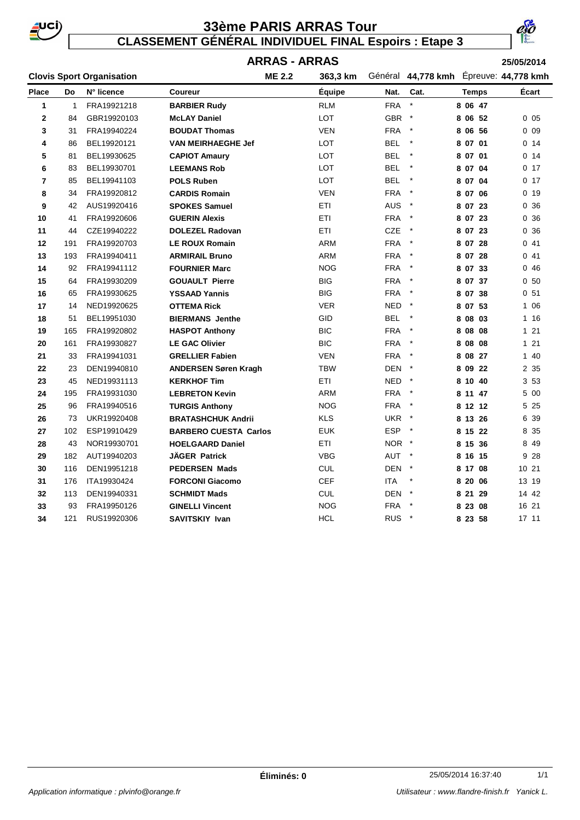

# **33ème PARIS ARRAS Tour**

**CLASSEMENT GÉNÉRAL INDIVIDUEL FINAL Espoirs : Etape 3**



**Clovis Sport Organisation 25/05/2014 363,3 km 44,778 kmh Place Do Coureur Équipe N° licence Cat. Temps Écart ARRAS - ARRAS Nat. ME 2.2** 363,3 km Général 44,778 kmh Épreuve: 44,778 kmh 1 FRA19921218 **BARBIER Rudy** RLM FRA \* **8 06 47** 84 GBR19920103 **McLAY Daniel** LOT GBR \* **8 06 52** 0 05 31 FRA19940224 **BOUDAT Thomas** VEN FRA \* **8 06 56** 0 09 86 BEL19920121 **VAN MEIRHAEGHE Jef** LOT BEL \* **8 07 01** 0 14 81 BEL19930625 **CAPIOT Amaury** LOT BEL \* **8 07 01** 0 14 83 BEL19930701 **LEEMANS Rob** LOT BEL \* **8 07 04** 0 17 85 BEL19941103 **POLS Ruben** LOT BEL \* **8 07 04** 0 17 34 FRA19920812 **CARDIS Romain** VEN FRA \* **8 07 06** 0 19 42 AUS19920416 **SPOKES Samuel** ETI AUS \* **8 07 23** 0 36 41 FRA19920606 **GUERIN Alexis** ETI FRA \* **8 07 23** 0 36 44 CZE19940222 **DOLEZEL Radovan** ETI CZE \* **8 07 23** 0 36 191 FRA19920703 **LE ROUX Romain** ARM FRA \* **8 07 28** 0 41 193 FRA19940411 **ARMIRAIL Bruno** ARM FRA \* **8 07 28** 0 41 92 FRA19941112 **FOURNIER Marc** NOG FRA \* **8 07 33** 0 46 64 FRA19930209 **GOUAULT Pierre** BIG FRA \* **8 07 37** 0 50 65 FRA19930625 **YSSAAD Yannis** BIG FRA \* **8 07 38** 0 51 14 NED19920625 **OTTEMA Rick** VER NED \* **8 07 53** 1 06 51 BEL19951030 **BIERMANS Jenthe** GID BEL \* **8 08 03** 1 16 165 FRA19920802 **HASPOT Anthony** BIC FRA \* **8 08 08** 1 21 161 FRA19930827 **LE GAC Olivier** BIC FRA \* **8 08 08** 1 21 33 FRA19941031 **GRELLIER Fabien** VEN FRA \* **8 08 27** 1 40 23 DEN19940810 **ANDERSEN Søren Kragh** TBW DEN \* **8 09 22** 2 35 45 NED19931113 **KERKHOF Tim** ETI NED \* **8 10 40** 3 53 195 FRA19931030 **LEBRETON Kevin** ARM FRA \* **8 11 47** 5 00 96 FRA19940516 **TURGIS Anthony** NOG FRA \* **8 12 12** 5 25 73 UKR19920408 **BRATASHCHUK Andrii** KLS UKR \* **8 13 26** 6 39 102 ESP19910429 **BARBERO CUESTA Carlos** EUK ESP \* **8 15 22** 8 35 43 NOR19930701 **HOELGAARD Daniel** ETI NOR \* **8 15 36** 8 49 182 AUT19940203 **JÄGER Patrick** VBG AUT \* **8 16 15** 9 28 116 DEN19951218 **PEDERSEN Mads** CUL DEN \* **8 17 08** 10 21 176 ITA19930424 **FORCONI Giacomo** CEF ITA \* **8 20 06** 13 19 113 DEN19940331 **SCHMIDT Mads** CUL DEN \* **8 21 29** 14 42 93 FRA19950126 **GINELLI Vincent** NOG FRA \* **8 23 08** 16 21 121 RUS19920306 **SAVITSKIY Ivan** HCL RUS \* **8 23 58** 17 11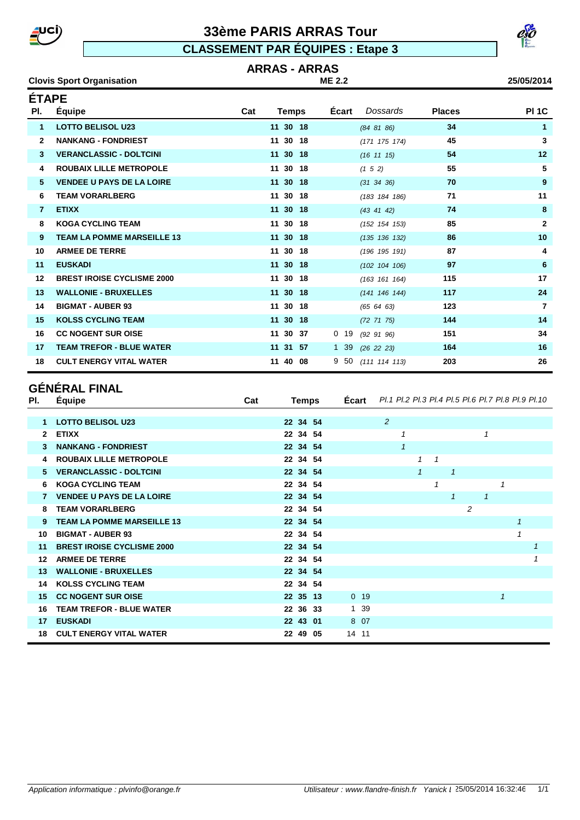**Clovis Sport Organisation** 

# **33ème PARIS ARRAS Tour**

**CLASSEMENT PAR ÉQUIPES : Etape 3**

#### **ARRAS - ARRAS ME 2.2**

| 25/05/2014 |
|------------|
|------------|

| <b>ÉTAPE</b> |                                   |     |              |        |                  |               |                |
|--------------|-----------------------------------|-----|--------------|--------|------------------|---------------|----------------|
| PI.          | Équipe                            | Cat | Temps        | Écart  | Dossards         | <b>Places</b> | <b>PI 1C</b>   |
| 1            | <b>LOTTO BELISOL U23</b>          |     | 11 30 18     |        | (84 81 86)       | 34            | 1              |
| $\mathbf{2}$ | <b>NANKANG - FONDRIEST</b>        |     | 11 30 18     |        | (171 175 174)    | 45            | 3              |
| 3            | <b>VERANCLASSIC - DOLTCINI</b>    |     | 11 30 18     |        | $(16 \t11 \t15)$ | 54            | 12             |
| 4            | <b>ROUBAIX LILLE METROPOLE</b>    |     | 11 30 18     |        | (1 5 2)          | 55            | 5              |
| 5            | <b>VENDEE U PAYS DE LA LOIRE</b>  |     | 11 30 18     |        | $(31 \ 34 \ 36)$ | 70            | 9              |
| 6            | <b>TEAM VORARLBERG</b>            |     | 11 30 18     |        | (183 184 186)    | 71            | 11             |
| 7            | <b>ETIXX</b>                      |     | 11 30 18     |        | (43 41 42)       | 74            | 8              |
| 8            | <b>KOGA CYCLING TEAM</b>          |     | 11 30 18     |        | (152 154 153)    | 85            | $\overline{2}$ |
| 9            | <b>TEAM LA POMME MARSEILLE 13</b> |     | 11 30 18     |        | (135 136 132)    | 86            | 10             |
| 10           | <b>ARMEE DE TERRE</b>             |     | 11 30 18     |        | (196 195 191)    | 87            | 4              |
| 11           | <b>EUSKADI</b>                    |     | 11 30 18     |        | (102 104 106)    | 97            | 6              |
| 12           | <b>BREST IROISE CYCLISME 2000</b> |     | 11 30 18     |        | (163 161 164)    | 115           | 17             |
| 13           | <b>WALLONIE - BRUXELLES</b>       |     | 11 30 18     |        | (141 146 144)    | 117           | 24             |
| 14           | <b>BIGMAT - AUBER 93</b>          |     | 11 30 18     |        | (65 64 63)       | 123           | $\overline{7}$ |
| 15           | <b>KOLSS CYCLING TEAM</b>         |     | 11 30 18     |        | $(72 \t71 \t75)$ | 144           | 14             |
| 16           | <b>CC NOGENT SUR OISE</b>         |     | 11 30<br>37  | $0$ 19 | $(92\ 91\ 96)$   | 151           | 34             |
| 17           | <b>TEAM TREFOR - BLUE WATER</b>   |     | 11 31<br>-57 | 1 39   | (26 22 23)       | 164           | 16             |
| 18           | <b>CULT ENERGY VITAL WATER</b>    |     | 11 40 08     | 950    | (1111114113)     | 203           | 26             |

# **GÉNÉRAL FINAL**

| PI.          | Equipe                            | Cat | Temps    | Ecart  | Pl.1 Pl.2 Pl.3 Pl.4 Pl.5 Pl.6 Pl.7 Pl.8 Pl.9 Pl.10 |              |              |              |   |              |              |              |
|--------------|-----------------------------------|-----|----------|--------|----------------------------------------------------|--------------|--------------|--------------|---|--------------|--------------|--------------|
|              |                                   |     |          |        |                                                    |              |              |              |   |              |              |              |
|              | <b>LOTTO BELISOL U23</b>          |     | 22 34 54 |        | 2                                                  |              |              |              |   |              |              |              |
| $\mathbf{2}$ | <b>ETIXX</b>                      |     | 22 34 54 |        | 1                                                  |              |              |              |   | $\mathbf{1}$ |              |              |
| 3            | <b>NANKANG - FONDRIEST</b>        |     | 22 34 54 |        | $\mathbf{1}$                                       |              |              |              |   |              |              |              |
| 4            | <b>ROUBAIX LILLE METROPOLE</b>    |     | 22 34 54 |        |                                                    | $\mathbf{1}$ | $\mathcal I$ |              |   |              |              |              |
| 5.           | <b>VERANCLASSIC - DOLTCINI</b>    |     | 22 34 54 |        |                                                    | $\mathcal I$ |              | 1            |   |              |              |              |
| 6            | <b>KOGA CYCLING TEAM</b>          |     | 22 34 54 |        |                                                    |              | 1            |              |   |              | 1            |              |
|              | <b>VENDEE U PAYS DE LA LOIRE</b>  |     | 22 34 54 |        |                                                    |              |              | $\mathcal I$ |   | $\mathbf{1}$ |              |              |
| 8            | <b>TEAM VORARLBERG</b>            |     | 22 34 54 |        |                                                    |              |              |              | 2 |              |              |              |
| 9.           | <b>TEAM LA POMME MARSEILLE 13</b> |     | 22 34 54 |        |                                                    |              |              |              |   |              | 1            |              |
| 10           | <b>BIGMAT - AUBER 93</b>          |     | 22 34 54 |        |                                                    |              |              |              |   |              | $\mathbf{1}$ |              |
| 11           | <b>BREST IROISE CYCLISME 2000</b> |     | 22 34 54 |        |                                                    |              |              |              |   |              |              | $\mathbf{1}$ |
| $12 \,$      | <b>ARMEE DE TERRE</b>             |     | 22 34 54 |        |                                                    |              |              |              |   |              |              | $\mathbf{1}$ |
| 13           | <b>WALLONIE - BRUXELLES</b>       |     | 22 34 54 |        |                                                    |              |              |              |   |              |              |              |
| 14           | <b>KOLSS CYCLING TEAM</b>         |     | 22 34 54 |        |                                                    |              |              |              |   |              |              |              |
| 15           | <b>CC NOGENT SUR OISE</b>         |     | 22 35 13 | $0$ 19 |                                                    |              |              |              |   |              | 1            |              |
| 16           | <b>TEAM TREFOR - BLUE WATER</b>   |     | 22 36 33 | 1 39   |                                                    |              |              |              |   |              |              |              |
| 17           | <b>EUSKADI</b>                    |     | 22 43 01 | 8 07   |                                                    |              |              |              |   |              |              |              |
| 18           | <b>CULT ENERGY VITAL WATER</b>    |     | 22 49 05 | 14 11  |                                                    |              |              |              |   |              |              |              |

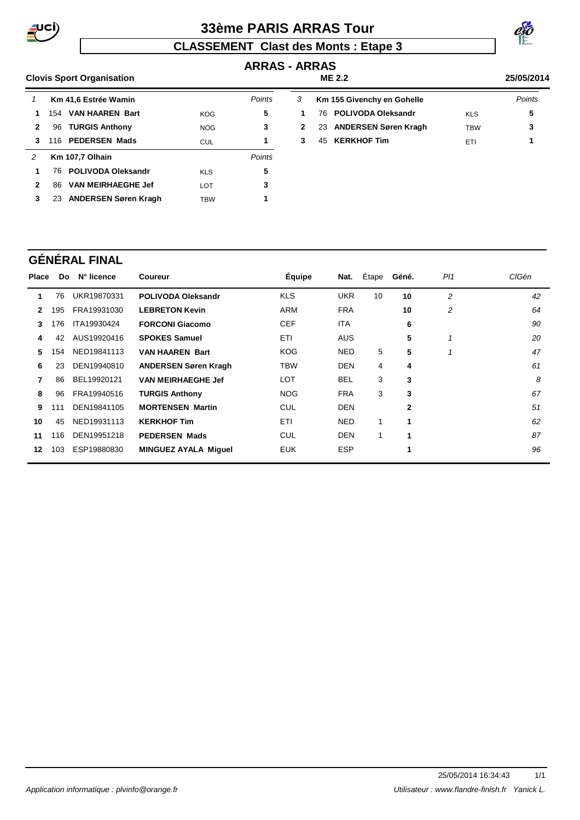

# **33ème PARIS ARRAS Tour**

# **CLASSEMENT Clast des Monts : Etape 3**



# **ARRAS - ARRAS**

#### **Clovis Sport Organisation 25/05/2014 ME 2.2** 1 Km 41,6 Estrée Wamin<br>
Points 154 **VAN HAAREN Bart** KOG **5** 96 **TURGIS Anthony** NOG **3** 116 **PEDERSEN Mads** CUL **1 Km 107,7 Olhain** Points 76 **POLIVODA Oleksandr** KLS **5** 86 **VAN MEIRHAEGHE Jef** LOT **3**  23 **ANDERSEN Søren Kragh** TBW **1** 3 Km 155 Givenchy en Gohelle **Points**  76 **POLIVODA Oleksandr** KLS **5** 2 23 **ANDERSEN Søren Kragh** TBW 3 45 **KERKHOF Tim** ETI **1**

# **GÉNÉRAL FINAL**

| Place | Do. | N° licence  | <b>Coureur</b>              | <b>Équipe</b> | Nat.       | Étape | Géné.        | PI1            | CIGén |
|-------|-----|-------------|-----------------------------|---------------|------------|-------|--------------|----------------|-------|
|       | 76  | UKR19870331 | <b>POLIVODA Oleksandr</b>   | <b>KLS</b>    | <b>UKR</b> | 10    | 10           | $\overline{c}$ | 42    |
| 2     | 195 | FRA19931030 | <b>LEBRETON Kevin</b>       | <b>ARM</b>    | <b>FRA</b> |       | 10           | 2              | 64    |
| 3     | 176 | ITA19930424 | <b>FORCONI Giacomo</b>      | <b>CEF</b>    | <b>ITA</b> |       | 6            |                | 90    |
| 4     | 42  | AUS19920416 | <b>SPOKES Samuel</b>        | <b>ETI</b>    | <b>AUS</b> |       | 5            |                | 20    |
| 5.    | 154 | NED19841113 | <b>VAN HAAREN Bart</b>      | <b>KOG</b>    | <b>NED</b> | 5     | 5            | 1              | 47    |
| 6     | 23  | DEN19940810 | <b>ANDERSEN Søren Kragh</b> | TBW           | <b>DEN</b> | 4     | 4            |                | 61    |
| 7     | 86  | BEL19920121 | <b>VAN MEIRHAEGHE Jef</b>   | <b>LOT</b>    | <b>BEL</b> | 3     | 3            |                | 8     |
| 8     | 96  | FRA19940516 | <b>TURGIS Anthony</b>       | <b>NOG</b>    | <b>FRA</b> | 3     | 3            |                | 67    |
| 9     | 111 | DEN19841105 | <b>MORTENSEN Martin</b>     | <b>CUL</b>    | <b>DEN</b> |       | $\mathbf{2}$ |                | 51    |
| 10    | 45  | NED19931113 | <b>KERKHOF Tim</b>          | ETI           | <b>NED</b> | 1     | 1            |                | 62    |
| 11    | 116 | DEN19951218 | <b>PEDERSEN Mads</b>        | <b>CUL</b>    | <b>DEN</b> | 1     | 1            |                | 87    |
| 12    | 103 | ESP19880830 | <b>MINGUEZ AYALA Miquel</b> | <b>EUK</b>    | <b>ESP</b> |       | 1            |                | 96    |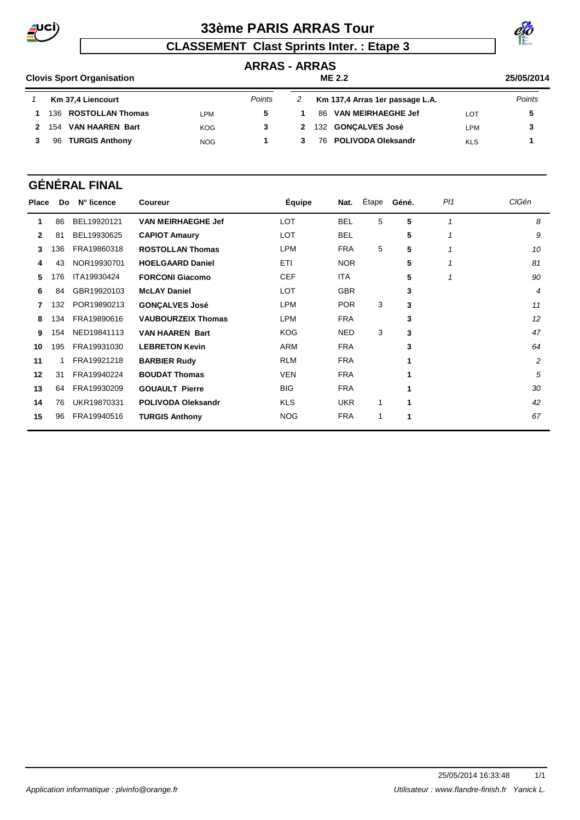

# **33ème PARIS ARRAS Tour**



# **CLASSEMENT Clast Sprints Inter. : Etape 3**

# **ARRAS - ARRAS**

#### **Clovis Sport Organisation 25/05/2014 ME 2.2 Km 37,4 Liencourt Points**  136 **ROSTOLLAN Thomas** LPM **5** 154 **VAN HAAREN Bart** KOG **3** 96 **TURGIS Anthony** NOG **1 Km 137,4 Arras 1er passage L.A.** Points 1 86 **VAN MEIRHAEGHE Jef** LOT 5 132 **GONÇALVES José** LPM **3** 76 **POLIVODA Oleksandr** KLS **1**

# **GÉNÉRAL FINAL**

| <b>Place</b> | Do. | N° licence  | Coureur                   | <b>Équipe</b> | Nat.       | Étape | Géné. | PI1         | <b>CIGén</b> |
|--------------|-----|-------------|---------------------------|---------------|------------|-------|-------|-------------|--------------|
| 1            | 86  | BEL19920121 | <b>VAN MEIRHAEGHE Jef</b> | <b>LOT</b>    | <b>BEL</b> | 5     | 5     | $\mathbf 1$ | 8            |
| $\mathbf{2}$ | 81  | BEL19930625 | <b>CAPIOT Amaury</b>      | LOT           | <b>BEL</b> |       | 5     |             | 9            |
| 3            | 136 | FRA19860318 | <b>ROSTOLLAN Thomas</b>   | LPM           | <b>FRA</b> | 5     | 5     |             | 10           |
| 4            | 43  | NOR19930701 | <b>HOELGAARD Daniel</b>   | <b>ETI</b>    | <b>NOR</b> |       | 5     |             | 81           |
| 5.           | 176 | ITA19930424 | <b>FORCONI Giacomo</b>    | <b>CEF</b>    | <b>ITA</b> |       | 5     |             | 90           |
| 6            | 84  | GBR19920103 | <b>McLAY Daniel</b>       | <b>LOT</b>    | <b>GBR</b> |       | 3     |             | 4            |
| 7            | 132 | POR19890213 | <b>GONÇALVES José</b>     | LPM           | <b>POR</b> | 3     | 3     |             | 11           |
| 8            | 134 | FRA19890616 | <b>VAUBOURZEIX Thomas</b> | LPM           | <b>FRA</b> |       | 3     |             | 12           |
| 9            | 154 | NED19841113 | <b>VAN HAAREN Bart</b>    | <b>KOG</b>    | <b>NED</b> | 3     | 3     |             | 47           |
| 10           | 195 | FRA19931030 | <b>LEBRETON Kevin</b>     | <b>ARM</b>    | <b>FRA</b> |       | 3     |             | 64           |
| 11           |     | FRA19921218 | <b>BARBIER Rudy</b>       | <b>RLM</b>    | <b>FRA</b> |       |       |             | 2            |
| 12           | 31  | FRA19940224 | <b>BOUDAT Thomas</b>      | <b>VEN</b>    | <b>FRA</b> |       | 1     |             | 5            |
| 13           | 64. | FRA19930209 | <b>GOUAULT Pierre</b>     | <b>BIG</b>    | <b>FRA</b> |       | 1     |             | 30           |
| 14           | 76  | UKR19870331 | <b>POLIVODA Oleksandr</b> | <b>KLS</b>    | <b>UKR</b> | 1     | 1     |             | 42           |
| 15           | 96  | FRA19940516 | <b>TURGIS Anthony</b>     | <b>NOG</b>    | <b>FRA</b> | 1     | 1     |             | 67           |